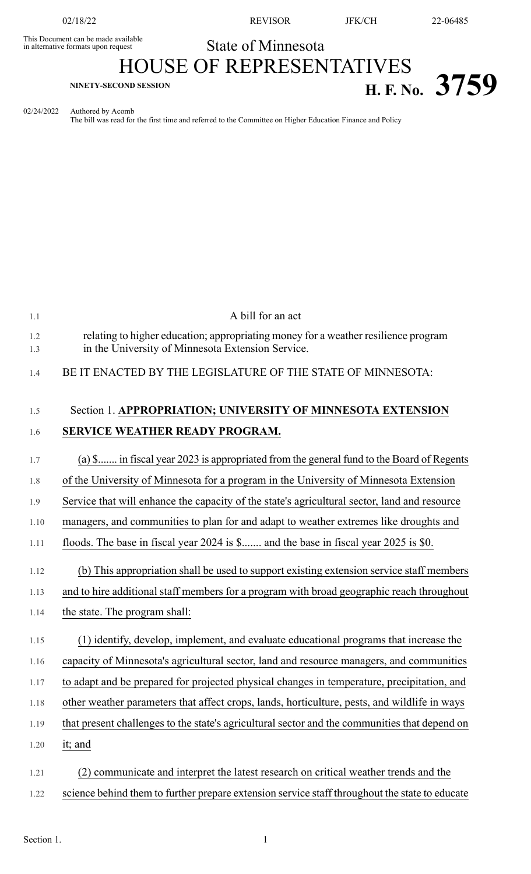This Document can be made available<br>in alternative formats upon request

02/18/22 REVISOR JFK/CH 22-06485

## State of Minnesota HOUSE OF REPRESENTATIVES

## **EXPLOSED SESSION**<br>**H. F. No. 3759**

02/24/2022 Authored by Acomb The bill was read for the first time and referred to the Committee on Higher Education Finance and Policy

| 1.1        | A bill for an act                                                                                                                       |
|------------|-----------------------------------------------------------------------------------------------------------------------------------------|
| 1.2<br>1.3 | relating to higher education; appropriating money for a weather resilience program<br>in the University of Minnesota Extension Service. |
| 1.4        | BE IT ENACTED BY THE LEGISLATURE OF THE STATE OF MINNESOTA:                                                                             |
| 1.5        | Section 1. APPROPRIATION; UNIVERSITY OF MINNESOTA EXTENSION                                                                             |
| 1.6        | SERVICE WEATHER READY PROGRAM.                                                                                                          |
| 1.7        | (a) \$ in fiscal year 2023 is appropriated from the general fund to the Board of Regents                                                |
| 1.8        | of the University of Minnesota for a program in the University of Minnesota Extension                                                   |
| 1.9        | Service that will enhance the capacity of the state's agricultural sector, land and resource                                            |
| 1.10       | managers, and communities to plan for and adapt to weather extremes like droughts and                                                   |
| 1.11       | floods. The base in fiscal year 2024 is \$ and the base in fiscal year 2025 is \$0.                                                     |
| 1.12       | (b) This appropriation shall be used to support existing extension service staff members                                                |
| 1.13       | and to hire additional staff members for a program with broad geographic reach throughout                                               |
| 1.14       | the state. The program shall:                                                                                                           |
| 1.15       | (1) identify, develop, implement, and evaluate educational programs that increase the                                                   |
| 1.16       | capacity of Minnesota's agricultural sector, land and resource managers, and communities                                                |
| 1.17       | to adapt and be prepared for projected physical changes in temperature, precipitation, and                                              |
| 1.18       | other weather parameters that affect crops, lands, horticulture, pests, and wildlife in ways                                            |
| 1.19       | that present challenges to the state's agricultural sector and the communities that depend on                                           |
| 1.20       | it; and                                                                                                                                 |
| 1.21       | communicate and interpret the latest research on critical weather trends and the                                                        |
| 1.22       | science behind them to further prepare extension service staff throughout the state to educate                                          |